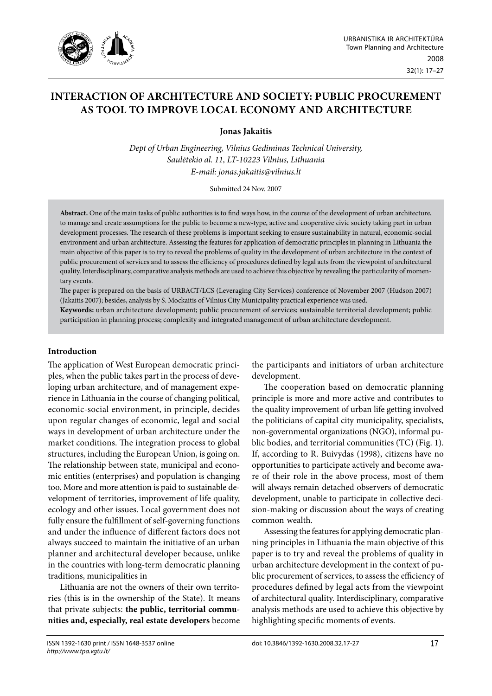

# **inTeracTion oF archiTecTure and SocieTY: PuBlic ProcureMenT aS Tool To iMProVe local econoMY and archiTecTure**

**Jonas Jakaitis** 

*Dept of Urban Engineering, Vilnius Gediminas Technical University, Saulėtekio al. 11, LT-10223 Vilnius, Lithuania E-mail: jonas.jakaitis@vilnius.lt* 

Submitted 24 Nov. 2007

**Abstract.** One of the main tasks of public authorities is to find ways how, in the course of the development of urban architecture, to manage and create assumptions for the public to become a new-type, active and cooperative civic society taking part in urban development processes. The research of these problems is important seeking to ensure sustainability in natural, economic-social environment and urban architecture. Assessing the features for application of democratic principles in planning in Lithuania the main objective of this paper is to try to reveal the problems of quality in the development of urban architecture in the context of public procurement of services and to assess the efficiency of procedures defined by legal acts from the viewpoint of architectural quality. Interdisciplinary, comparative analysis methods are used to achieve this objective by revealing the particularity of momentary events.

The paper is prepared on the basis of URBACT/LCS (Leveraging City Services) conference of November 2007 (Hudson 2007) (Jakaitis 2007); besides, analysis by S. Mockaitis of Vilnius City Municipality practical experience was used.

**Keywords:** urban architecture development; public procurement of services; sustainable territorial development; public participation in planning process; complexity and integrated management of urban architecture development.

## **Introduction**

The application of West European democratic principles, when the public takes part in the process of developing urban architecture, and of management experience in Lithuania in the course of changing political, economic-social environment, in principle, decides upon regular changes of economic, legal and social ways in development of urban architecture under the market conditions. The integration process to global structures, including the European Union, is going on. The relationship between state, municipal and economic entities (enterprises) and population is changing too. More and more attention is paid to sustainable development of territories, improvement of life quality, ecology and other issues. Local government does not fully ensure the fulfillment of self-governing functions and under the influence of different factors does not always succeed to maintain the initiative of an urban planner and architectural developer because, unlike in the countries with long-term democratic planning traditions, municipalities in

Lithuania are not the owners of their own territories (this is in the ownership of the State). It means that private subjects: **the public, territorial communities and, especially, real estate developers** become the participants and initiators of urban architecture development.

The cooperation based on democratic planning principle is more and more active and contributes to the quality improvement of urban life getting involved the politicians of capital city municipality, specialists, non-governmental organizations (NGO), informal public bodies, and territorial communities (TC) (Fig. 1). If, according to R. Buivydas (1998), citizens have no opportunities to participate actively and become aware of their role in the above process, most of them will always remain detached observers of democratic development, unable to participate in collective decision-making or discussion about the ways of creating common wealth.

Assessing the features for applying democratic planning principles in Lithuania the main objective of this paper is to try and reveal the problems of quality in urban architecture development in the context of public procurement of services, to assess the efficiency of procedures defined by legal acts from the viewpoint of architectural quality. Interdisciplinary, comparative analysis methods are used to achieve this objective by highlighting specific moments of events.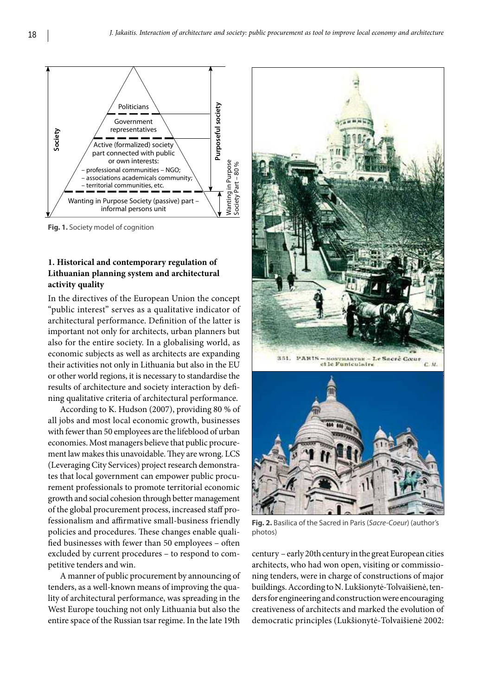

**Fig. 1.** Society model of cognition

# **1. Historical and contemporary regulation of Lithuanian planning system and architectural activity quality**

In the directives of the European Union the concept "public interest" serves as a qualitative indicator of architectural performance. Definition of the latter is important not only for architects, urban planners but also for the entire society. In a globalising world, as economic subjects as well as architects are expanding their activities not only in Lithuania but also in the EU or other world regions, it is necessary to standardise the results of architecture and society interaction by defining qualitative criteria of architectural performance.

According to K. Hudson (2007), providing 80 % of all jobs and most local economic growth, businesses with fewer than 50 employees are the lifeblood of urban economies. Most managers believe that public procurement law makes this unavoidable. They are wrong. LCS (Leveraging City Services) project research demonstrates that local government can empower public procurement professionals to promote territorial economic growth and social cohesion through better management of the global procurement process, increased staff professionalism and affirmative small-business friendly policies and procedures. These changes enable qualified businesses with fewer than 50 employees – often excluded by current procedures – to respond to competitive tenders and win.

A manner of public procurement by announcing of tenders, as a well-known means of improving the quality of architectural performance, was spreading in the West Europe touching not only Lithuania but also the entire space of the Russian tsar regime. In the late 19th



**Fig. 2.** Basilica of the Sacred in Paris (*Sacre-Coeur*) (author's photos)

century – early 20th century in the great European cities architects, who had won open, visiting or commissioning tenders, were in charge of constructions of major buildings. According to N. Lukšionytė-Tolvaišienė, tenders for engineering and construction were encouraging creativeness of architects and marked the evolution of democratic principles (Lukšionytė-Tolvaišienė 2002: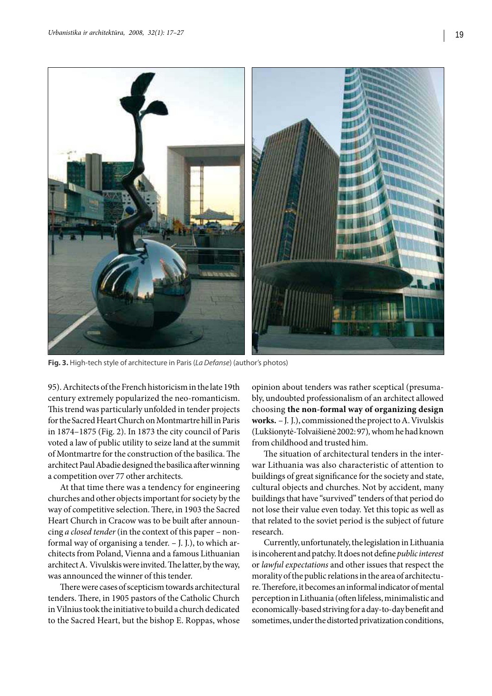

**Fig. 3.** High-tech style of architecture in Paris (*La Defanse*) (author's photos)

95). Architects of the French historicism in the late 19th century extremely popularized the neo-romanticism. This trend was particularly unfolded in tender projects for the Sacred Heart Church on Montmartre hill in Paris in 1874–1875 (Fig. 2). In 1873 the city council of Paris voted a law of public utility to seize land at the summit of Montmartre for the construction of the basilica. The architect Paul Abadie designed the basilica after winning a competition over 77 other architects.

At that time there was a tendency for engineering churches and other objects important for society by the way of competitive selection. There, in 1903 the Sacred Heart Church in Cracow was to be built after announcing *a closed tender* (in the context of this paper – nonformal way of organising a tender. – J. J.), to which architects from Poland, Vienna and a famous Lithuanian architect A. Vivulskis were invited. The latter, by the way, was announced the winner of this tender.

There were cases of scepticism towards architectural tenders. There, in 1905 pastors of the Catholic Church in Vilnius took the initiative to build a church dedicated to the Sacred Heart, but the bishop E. Roppas, whose opinion about tenders was rather sceptical (presumably, undoubted professionalism of an architect allowed choosing **the non-formal way of organizing design works.** – J. J.), commissioned the project to A. Vivulskis (Lukšionytė-Tolvaišienė 2002: 97)*,* whom he had known from childhood and trusted him.

The situation of architectural tenders in the interwar Lithuania was also characteristic of attention to buildings of great significance for the society and state, cultural objects and churches. Not by accident, many buildings that have "survived" tenders of that period do not lose their value even today. Yet this topic as well as that related to the soviet period is the subject of future research.

Currently, unfortunately, the legislation in Lithuania is incoherent and patchy. It does not define *public interest* or *lawful expectations* and other issues that respect the morality of the public relations in the area of architecture. Therefore, it becomes an informal indicator of mental perception in Lithuania (often lifeless, minimalistic and economically-based striving for a day-to-day benefit and sometimes, under the distorted privatization conditions,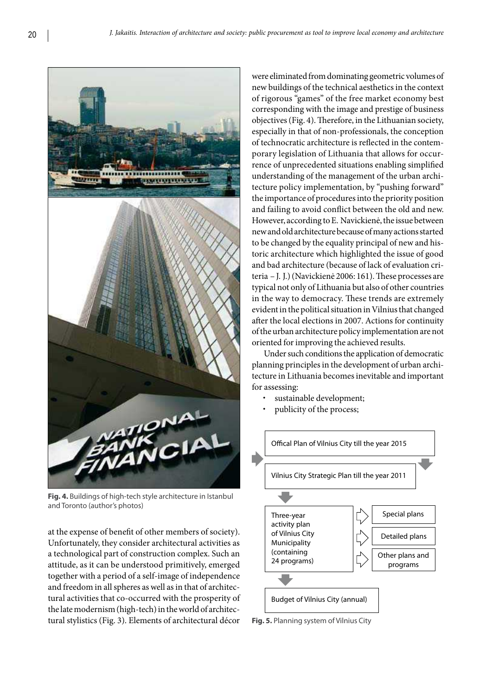

**Fig. 4.** Buildings of high-tech style architecture in Istanbul and Toronto (author's photos)

at the expense of benefit of other members of society). Unfortunately, they consider architectural activities as a technological part of construction complex. Such an attitude, as it can be understood primitively, emerged together with a period of a self-image of independence and freedom in all spheres as well as in that of architectural activities that co-occurred with the prosperity of the late modernism (high-tech) in the world of architectural stylistics (Fig. 3). Elements of architectural décor were eliminated from dominating geometric volumes of new buildings of the technical aesthetics in the context of rigorous "games" of the free market economy best corresponding with the image and prestige of business objectives (Fig. 4). Therefore, in the Lithuanian society, especially in that of non-professionals, the conception of technocratic architecture is reflected in the contemporary legislation of Lithuania that allows for occurrence of unprecedented situations enabling simplified understanding of the management of the urban architecture policy implementation, by "pushing forward" the importance of procedures into the priority position and failing to avoid conflict between the old and new. However, according to E. Navickienė, the issue between new and old architecture because of many actions started to be changed by the equality principal of new and historic architecture which highlighted the issue of good and bad architecture (because of lack of evaluation criteria – J. J.) (Navickienė 2006: 161). These processes are typical not only of Lithuania but also of other countries in the way to democracy. These trends are extremely evident in the political situation in Vilnius that changed after the local elections in 2007. Actions for continuity of the urban architecture policy implementation are not oriented for improving the achieved results.

Under such conditions the application of democratic planning principles in the development of urban architecture in Lithuania becomes inevitable and important for assessing:

- sustainable development;
- publicity of the process;



**Fig. 5.** Planning system of Vilnius City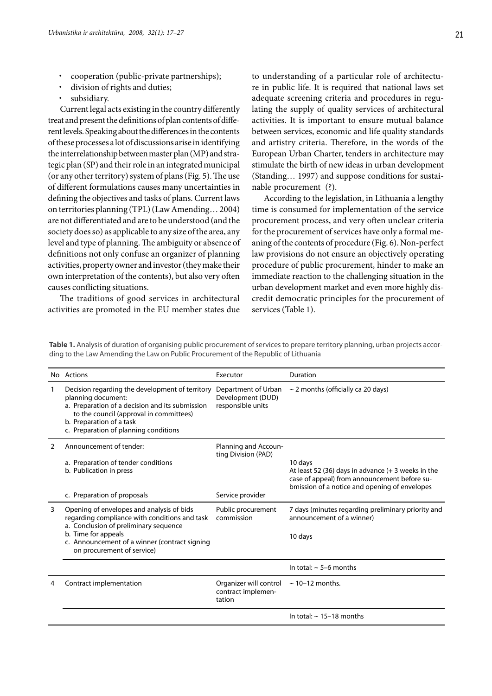- cooperation (public-private partnerships);
- division of rights and duties;
- subsidiary.

Current legal acts existing in the country differently treat and present the definitions of plan contents of different levels. Speaking about the differences in the contents of these processes a lot of discussions arise in identifying the interrelationship between master plan (MP) and strategic plan (SP) and their role in an integrated municipal (or any other territory) system of plans (Fig. 5). The use of different formulations causes many uncertainties in defining the objectives and tasks of plans. Current laws on territories planning (TPL) (Law Amending… 2004) are not differentiated and are to be understood (and the society does so) as applicable to any size of the area, any level and type of planning. The ambiguity or absence of definitions not only confuse an organizer of planning activities, property owner and investor (they make their own interpretation of the contents), but also very often causes conflicting situations.

The traditions of good services in architectural activities are promoted in the EU member states due to understanding of a particular role of architecture in public life. It is required that national laws set adequate screening criteria and procedures in regulating the supply of quality services of architectural activities. It is important to ensure mutual balance between services, economic and life quality standards and artistry criteria. Therefore, in the words of the European Urban Charter, tenders in architecture may stimulate the birth of new ideas in urban development (Standing… 1997) and suppose conditions for sustainable procurement (?).

According to the legislation, in Lithuania a lengthy time is consumed for implementation of the service procurement process, and very often unclear criteria for the procurement of services have only a formal meaning of the contents of procedure (Fig. 6). Non-perfect law provisions do not ensure an objectively operating procedure of public procurement, hinder to make an immediate reaction to the challenging situation in the urban development market and even more highly discredit democratic principles for the procurement of services (Table 1).

**Table 1.** Analysis of duration of organising public procurement of services to prepare territory planning, urban projects according to the Law Amending the Law on Public Procurement of the Republic of Lithuania

|               | No Actions                                                                                                                                                                                                                               | Executor                                                      | Duration                                                                                                                                                         |
|---------------|------------------------------------------------------------------------------------------------------------------------------------------------------------------------------------------------------------------------------------------|---------------------------------------------------------------|------------------------------------------------------------------------------------------------------------------------------------------------------------------|
|               | Decision regarding the development of territory<br>planning document:<br>a. Preparation of a decision and its submission<br>to the council (approval in committees)<br>b. Preparation of a task<br>c. Preparation of planning conditions | Department of Urban<br>Development (DUD)<br>responsible units | $\sim$ 2 months (officially ca 20 days)                                                                                                                          |
| $\mathcal{P}$ | Announcement of tender:                                                                                                                                                                                                                  | Planning and Accoun-<br>ting Division (PAD)                   |                                                                                                                                                                  |
|               | a. Preparation of tender conditions<br>b. Publication in press                                                                                                                                                                           |                                                               | 10 days<br>At least 52 (36) days in advance $(+ 3$ weeks in the<br>case of appeal) from announcement before su-<br>bmission of a notice and opening of envelopes |
|               | c. Preparation of proposals                                                                                                                                                                                                              | Service provider                                              |                                                                                                                                                                  |
| 3             | Opening of envelopes and analysis of bids<br>regarding compliance with conditions and task<br>a. Conclusion of preliminary sequence                                                                                                      | Public procurement<br>commission                              | 7 days (minutes regarding preliminary priority and<br>announcement of a winner)                                                                                  |
|               | b. Time for appeals<br>c. Announcement of a winner (contract signing<br>on procurement of service)                                                                                                                                       |                                                               | 10 days                                                                                                                                                          |
|               |                                                                                                                                                                                                                                          |                                                               | In total: $\sim$ 5-6 months                                                                                                                                      |
|               | Contract implementation                                                                                                                                                                                                                  | Organizer will control<br>contract implemen-<br>tation        | $\sim$ 10-12 months.                                                                                                                                             |
|               |                                                                                                                                                                                                                                          |                                                               | In total: $\sim$ 15-18 months                                                                                                                                    |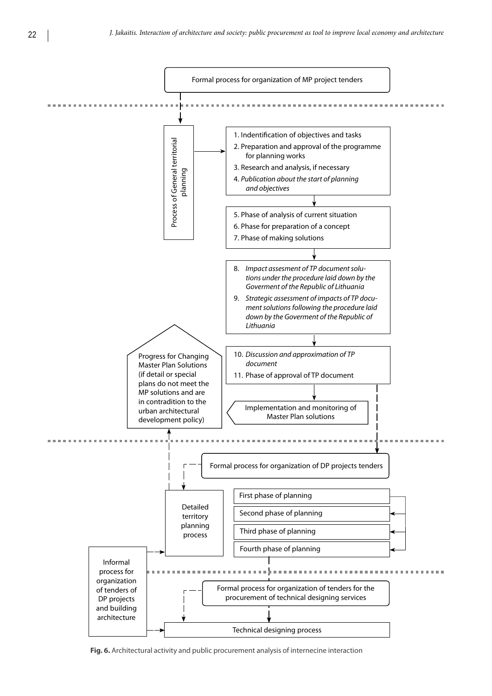

**Fig. 6.** Architectural activity and public procurement analysis of internecine interaction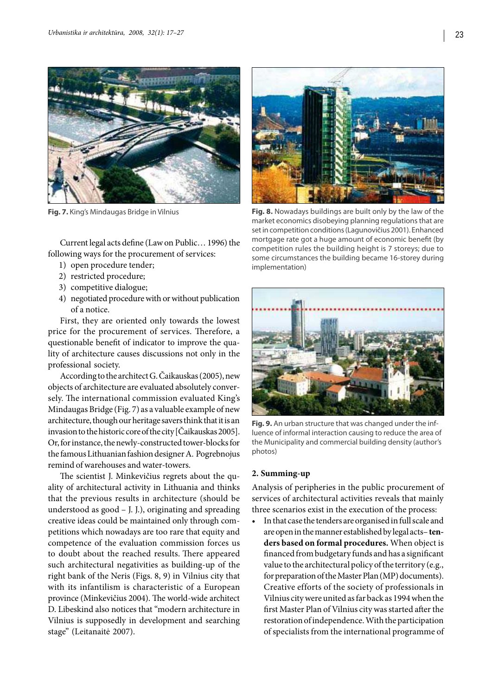

Current legal acts define (Law on Public… 1996) the following ways for the procurement of services:

- 1) open procedure tender;
- 2) restricted procedure;
- 3) competitive dialogue;
- 4) negotiated procedure with or without publication of a notice.

First, they are oriented only towards the lowest price for the procurement of services. Therefore, a questionable benefit of indicator to improve the quality of architecture causes discussions not only in the professional society.

According to the architect G. Čaikauskas (2005), new objects of architecture are evaluated absolutely conversely. The international commission evaluated King's Mindaugas Bridge (Fig. 7) as a valuable example of new architecture, though our heritage savers think that it is an invasion to the historic core of the city [Čaikauskas 2005]. Or, for instance, the newly-constructed tower-blocks for the famous Lithuanian fashion designer A. Pogrebnojus remind of warehouses and water-towers.

The scientist J. Minkevičius regrets about the quality of architectural activity in Lithuania and thinks that the previous results in architecture (should be understood as good – J. J.), originating and spreading creative ideas could be maintained only through competitions which nowadays are too rare that equity and competence of the evaluation commission forces us to doubt about the reached results. There appeared such architectural negativities as building-up of the right bank of the Neris (Figs. 8, 9) in Vilnius city that with its infantilism is characteristic of a European province (Minkevičius 2004). The world-wide architect D. Libeskind also notices that "modern architecture in Vilnius is supposedly in development and searching stage" (Leitanaitė 2007).



**Fig. 7.** King's Mindaugas Bridge in Vilnius **Fig. 8.** Nowadays buildings are built only by the law of the market economics disobeying planning regulations that are set in competition conditions (Lagunovičius 2001). Enhanced mortgage rate got a huge amount of economic benefit (by competition rules the building height is 7 storeys; due to some circumstances the building became 16-storey during implementation)



**Fig. 9.** An urban structure that was changed under the influence of informal interaction causing to reduce the area of the Municipality and commercial building density (author's photos)

### **2. Summing-up**

Analysis of peripheries in the public procurement of services of architectural activities reveals that mainly three scenarios exist in the execution of the process:

• In that case the tenders are organised in full scale and are open in the manner established by legal acts– **tenders based on formal procedures.** When object is financed from budgetary funds and has a significant value to the architectural policy of the territory (e.g., for preparation of the Master Plan (MP) documents). Creative efforts of the society of professionals in Vilnius city were united as far back as 1994 when the first Master Plan of Vilnius city was started after the restoration of independence. With the participation of specialists from the international programme of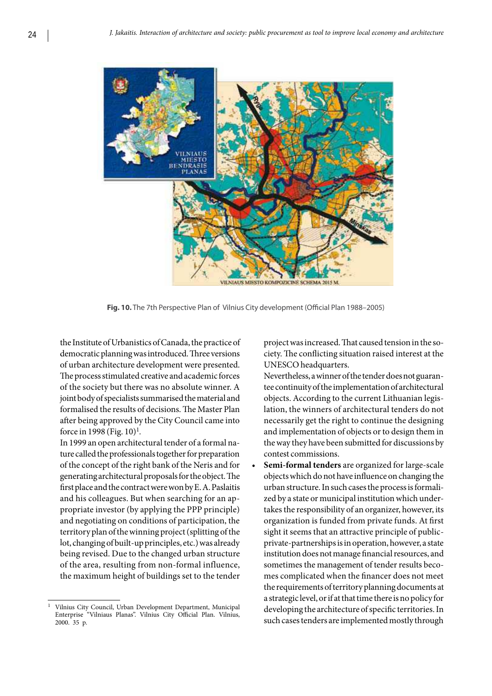

**Fig. 10.** The 7th Perspective Plan of Vilnius City development (Official Plan 1988–2005)

the Institute of Urbanistics of Canada, the practice of democratic planning was introduced. Three versions of urban architecture development were presented. The process stimulated creative and academic forces of the society but there was no absolute winner. A joint body of specialists summarised the material and formalised the results of decisions. The Master Plan after being approved by the City Council came into force in 1998 (Fig. 10)1*.*

In 1999 an open architectural tender of a formal nature called the professionals together for preparation of the concept of the right bank of the Neris and for generating architectural proposals for the object. The first place and the contract were won by E. A. Paslaitis and his colleagues. But when searching for an appropriate investor (by applying the PPP principle) and negotiating on conditions of participation, the territory plan of the winning project (splitting of the lot, changing of built-up principles, etc.) was already being revised. Due to the changed urban structure of the area, resulting from non-formal influence, the maximum height of buildings set to the tender project was increased. That caused tension in the society. The conflicting situation raised interest at the UNESCOheadquarters.

Nevertheless, a winner of the tender does not guarantee continuity of the implementation of architectural objects. According to the current Lithuanian legislation, the winners of architectural tenders do not necessarily get the right to continue the designing and implementation of objects or to design them in the way they have been submitted for discussions by contest commissions.

• **Semi-formal tenders** are organized for large-scale objects which do not have influence on changing the urban structure. In such cases the process is formalized by a state or municipal institution which undertakes the responsibility of an organizer, however, its organization is funded from private funds. At first sight it seems that an attractive principle of publicprivate-partnerships is in operation, however, a state institution does not manage financial resources, and sometimes the management of tender results becomes complicated when the financer does not meet the requirements of territory planning documents at a strategic level, or if at that time there is no policy for developing the architecture of specific territories. In such cases tenders are implemented mostly through

<sup>1</sup> Vilnius City Council, Urban Development Department, Municipal Enterprise "Vilniaus Planas". Vilnius City Official Plan. Vilnius, 2000. 35 p.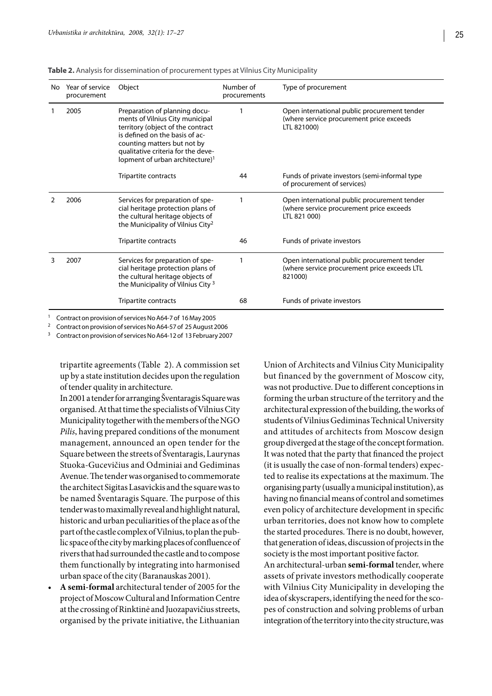| No | Year of service<br>procurement | Object                                                                                                                                                                                                                                                      | Number of<br>procurements | Type of procurement                                                                                      |
|----|--------------------------------|-------------------------------------------------------------------------------------------------------------------------------------------------------------------------------------------------------------------------------------------------------------|---------------------------|----------------------------------------------------------------------------------------------------------|
|    | 2005                           | Preparation of planning docu-<br>ments of Vilnius City municipal<br>territory (object of the contract<br>is defined on the basis of ac-<br>counting matters but not by<br>qualitative criteria for the deve-<br>lopment of urban architecture) <sup>1</sup> |                           | Open international public procurement tender<br>(where service procurement price exceeds<br>LTL 821000)  |
|    |                                | Tripartite contracts                                                                                                                                                                                                                                        | 44                        | Funds of private investors (semi-informal type<br>of procurement of services)                            |
|    | 2006                           | Services for preparation of spe-<br>cial heritage protection plans of<br>the cultural heritage objects of<br>the Municipality of Vilnius City <sup>2</sup>                                                                                                  |                           | Open international public procurement tender<br>(where service procurement price exceeds<br>LTL 821 000) |
|    |                                | Tripartite contracts                                                                                                                                                                                                                                        | 46                        | Funds of private investors                                                                               |
| 3  | 2007                           | Services for preparation of spe-<br>cial heritage protection plans of<br>the cultural heritage objects of<br>the Municipality of Vilnius City <sup>3</sup>                                                                                                  |                           | Open international public procurement tender<br>(where service procurement price exceeds LTL<br>821000)  |
|    |                                | Tripartite contracts                                                                                                                                                                                                                                        | 68                        | Funds of private investors                                                                               |

**Table 2.** Analysis for dissemination of procurement types at Vilnius City Municipality

1 Contract on provision of services No A64-7 of 16 May 2005<br><sup>2</sup> Contract on provision of services No A64-57 of 25 August 2006<br><sup>3</sup> Contract on provision of services No A64-12 of 13 February 2007

tripartite agreements (Table 2). A commission set up by a state institution decides upon the regulation of tender quality in architecture.

In 2001 a tender for arranging Šventaragis Square was organised. At that time the specialists of Vilnius City Municipality together with the members of the NGO *Pilis*, having prepared conditions of the monument management, announced an open tender for the Square between the streets of Šventaragis, Laurynas Stuoka-Gucevičius and Odminiai and Gediminas Avenue. The tender was organised to commemorate the architect Sigitas Lasavickis and the square was to be named Šventaragis Square. The purpose of this tender was to maximally reveal and highlight natural, historic and urban peculiarities of the place as of the part of the castle complex of Vilnius, to plan the public space of the city by marking places of confluence of rivers that had surrounded the castle and to compose them functionally by integrating into harmonised urban space of the city (Baranauskas 2001).

• **A semi-formal** architectural tender of 2005 for the project of Moscow Cultural and Information Centre at the crossing of Rinktinė and Juozapavičius streets, organised by the private initiative, the Lithuanian

Union of Architects and Vilnius City Municipality but financed by the government of Moscow city, was not productive. Due to different conceptions in forming the urban structure of the territory and the architectural expression of the building, the works of students of Vilnius Gediminas Technical University and attitudes of architects from Moscow design group diverged at the stage of the concept formation. It was noted that the party that financed the project (it is usually the case of non-formal tenders) expected to realise its expectations at the maximum. The organising party (usually a municipal institution), as having no financial means of control and sometimes even policy of architecture development in specific urban territories, does not know how to complete the started procedures. There is no doubt, however, that generation of ideas, discussion of projects in the society is the most important positive factor. An architectural-urban **semi-formal** tender, where assets of private investors methodically cooperate

with Vilnius City Municipality in developing the idea of skyscrapers, identifying the need for the scopes of construction and solving problems of urban integration of the territory into the city structure, was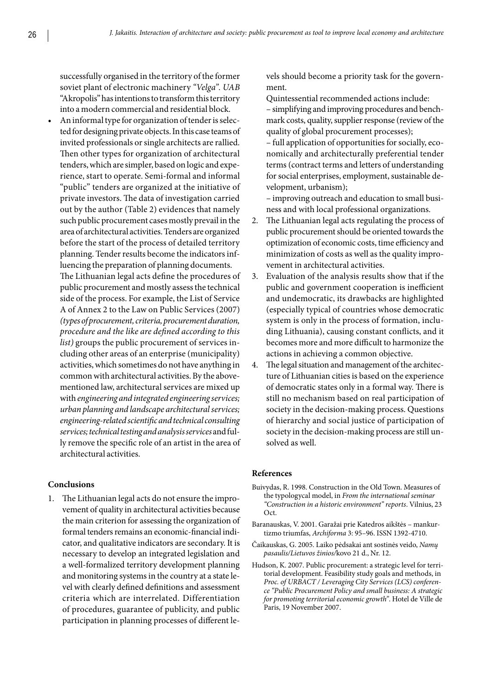successfully organised in the territory of the former soviet plant of electronic machinery *"Velga". UAB*  "Akropolis" has intentions to transform this territory into a modern commercial and residential block.

• An informal type for organization of tender is selected for designing private objects. In this case teams of invited professionals or single architects are rallied. Then other types for organization of architectural tenders, which are simpler, based on logic and experience, start to operate. Semi-formal and informal "public" tenders are organized at the initiative of private investors. The data of investigation carried out by the author (Table 2) evidences that namely such public procurement cases mostly prevail in the area of architectural activities. Tenders are organized before the start of the process of detailed territory planning. Tender results become the indicators influencing the preparation of planning documents. The Lithuanian legal acts define the procedures of public procurement and mostly assess the technical side of the process. For example, the List of Service A of Annex 2 to the Law on Public Services (2007) *(types of procurement, criteria, procurement duration, procedure and the like are defined according to this list)* groups the public procurement of services including other areas of an enterprise (municipality) activities, which sometimes do not have anything in common with architectural activities. By the abovementioned law, architectural services are mixed up with *engineering and integrated engineering services; urban planning and landscape architectural services; engineering-related scientific and technical consulting services; technical testing and analysis services* and fully remove the specific role of an artist in the area of architectural activities.

### **Conclusions**

1. The Lithuanian legal acts do not ensure the improvement of quality in architectural activities because the main criterion for assessing the organization of formal tenders remains an economic-financial indicator, and qualitative indicators are secondary. It is necessary to develop an integrated legislation and a well-formalized territory development planning and monitoring systems in the country at a state level with clearly defined definitions and assessment criteria which are interrelated. Differentiation of procedures, guarantee of publicity, and public participation in planning processes of different levels should become a priority task for the government.

Quintessential recommended actions include:

– simplifying and improving procedures and benchmark costs, quality, supplier response (review of the quality of global procurement processes);

– full application of opportunities for socially, economically and architecturally preferential tender terms (contract terms and letters of understanding for social enterprises, employment, sustainable development, urbanism);

– improving outreach and education to small business and with local professional organizations.

- 2. The Lithuanian legal acts regulating the process of public procurement should be oriented towards the optimization of economic costs, time efficiency and minimization of costs as well as the quality improvement in architectural activities.
- 3. Evaluation of the analysis results show that if the public and government cooperation is inefficient and undemocratic, its drawbacks are highlighted (especially typical of countries whose democratic system is only in the process of formation, including Lithuania), causing constant conflicts, and it becomes more and more difficult to harmonize the actions in achieving a common objective.
- 4. The legal situation and management of the architecture of Lithuanian cities is based on the experience of democratic states only in a formal way. There is still no mechanism based on real participation of society in the decision-making process. Questions of hierarchy and social justice of participation of society in the decision-making process are still unsolved as well.

#### **References**

- Buivydas, R. 1998. Construction in the Old Town. Measures of the typologycal model, in *From the international seminar "Construction in a historic environment" reports*. Vilnius, 23 Oct.
- Baranauskas, V. 2001. Garažai prie Katedros aikštės mankurtizmo triumfas, *Archiforma* 3: 95–96. ISSN 1392-4710.
- Čaikauskas, G. 2005. Laiko pėdsakai ant sostinės veido, *Namų pasaulis/Lietuvos žinios/*kovo 21 d., Nr. 12.
- Hudson, K. 2007. Public procurement: a strategic level for territorial development. Feasibility study goals and methods, in *Proc. of URBACT / Leveraging City Services (LCS) conference "Public Procurement Policy and small business: A strategic for promoting territorial economic growth"*. Hotel de Ville de Paris, 19 November 2007.